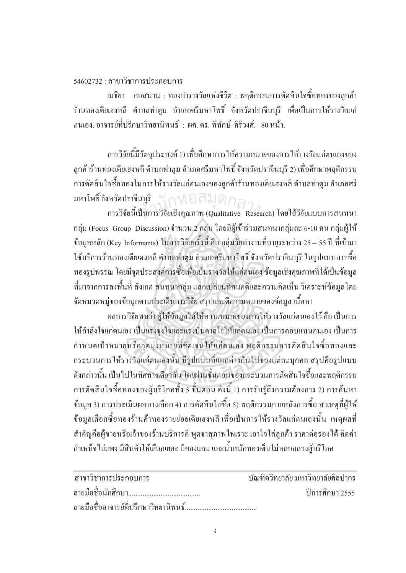## $54602732 \cdot \pi$ าขาวิชาการประกอบการ

เมธิยา กอสนาน : ทองคำรางวัลแห่งชีวิต : พฤติกรรมการตัดสินใจซื้อทองของลูกค้า ร้านทองเตียเฮงหลี ตำบลท่าตูม อำเภอศรีมหาโพธิ์ จังหวัดปราจีนบุรี เพื่อเป็นการให้รางวัลแก่ ็ตนเอง อาจารย์ที่ปรึกษาวิทยานิพนธ์ : ผศ. ดร. พิทักษ์ ศิริวงศ์, 80 หน้า.

การวิจัยนี้มีวัตถุประสงค์ 1) เพื่อศึกษาการให้ความหมายของการให้รางวัลแก่ตนเองของ ลูกค้าร้านทองเตียเฮงหลี ตำบลท่าตูม อำเภอศรีมหาโพธิ์ จังหวัดปราจีนบุรี 2) เพื่อศึกษาพฤติกรรม l<br> ำกรตัดสินใจซื้อทองในการให้รางวัลแก่ตนเองของลูกค้าร้านทองเตียเฮงหลี ตำบลท่าตุม อำเภอศรี มหาโพธิ์ จังหวัดปราจีนบุรี หวัดปราจีนบุรี<br>การวิจัยนี้เป็นการวิจัยเชิงคุณภาพ (Qualitative Research) โดยใช้วิจัยแบบการสนทนา

ึกลุ่ม (Focus Group Discussion) จำนวน 2 กลุ่ม โดยมีผู้เข้าร่วมสนทนากลุ่มละ 6-10 คน กลุ่มผู้ให้ ข้อมูลหลัก (Key Informants) ในการวิจัยครั้งนี้ คือ กลุ่มวัยทำงานที่อายุระหว่าง 25 – 55 ปี ที่เข้ามา ´´ ใช้บริการร้านทองเตียเฮงหลี ตำบลท่าตูม อำเภอศรีมหาโพธิ์ จังหวัดปราจีนบุรี ในรูปแบบการซื้อ ทองรูปพรรณ โดยมีจุดประสงค์การซื้อเพื่อเป็นรางวัลให้แก่ตนเอง ข้อมูลเชิงคุณภาพที่ได้เป็นข้อมูล ºÊ ที่มาจากการลงพื้นที่ สังเกต สนทนากลุ่ม แลกเปลี่ยนทัศนคติและความคิดเห็น วิเคราะห์ข้อมูลโดย ºÊ จัดหมวดหมู่ของข้อมูลตามประเด็นการวิจัย สรุปและตีความหมายของข้อมูล เนื้อหา ºÊ

ยลการวิจัยพบว่า ผู้ให้ข้อมูลได้ให้ความหมายของการให้รางวัลแก่ตนเองไว้ คือ เป็นการ <u>ให้กำลังใจแก่ตนเอง เป็นแรงจูงใจและแรงบันดาลใจให้แก่ตนเอง เป็นการตอบแทนตนเอง เป็นการ</u> กำหนดเป้าหมายหรือจุดมุ่งหมายที่ชัดเจนให้แก่ตนเอง พฤติกรรมการตัดสินใจซื้อทองและ กระบวนการให้รางวัลแก่ตนเองนั้น มีรูปแบบที่แตกต่างกันไปของแต่ละบุคคล สรุปคือรูปแบบ ดังกล่าวนั้น เป็นไปในทิศทางเดียวกัน โดยผ่านขั้นตอนของกระบวนการตัดสินใจซื้อและพฤติกรรม ´Ê การตัดสินใจซื้อทองของผู้บริโภคทั้ง 5 ขั้นตอน ดังนี้ 1) การรับรู้ถึงความต้องการ 2) การค้นหา ข้อมูล 3) การประเมินผลทางเลือก 4) การตัดสินใจซื้อ 5) พฤติกรรมภายหลังการซื้อ สาเหตฺที่ฝ้ให้ ข้อมูลเลือกซื้อทองร้านค้าทองรายย่อยเตียเฮงหลี เพื่อเป็นการให้รางวัลแก่ตนเองนั้น เหตุผลที่ ºÊ ้สำคัญคือผู้งายหรือเจ้าของร้านบริการดี พูดจาสุภาพใพเราะ เอาใจใส่ลูกค้า ราคาต่อรองได้ คิดค่า กำเหน็จไม่แพง มีสินค้าให้เลือกเยอะ มีของแถม และน้ำหนักทองเต็มไม่หลอกลวงผู้บริโภค Î

| ิสาขาวิชาการประกอบการ | ำเันฑิตวิทยาลัย มหาวิทยาลัยศิลปากร |
|-----------------------|------------------------------------|
|                       | ์ ปีการศึกษา 2555                  |
|                       |                                    |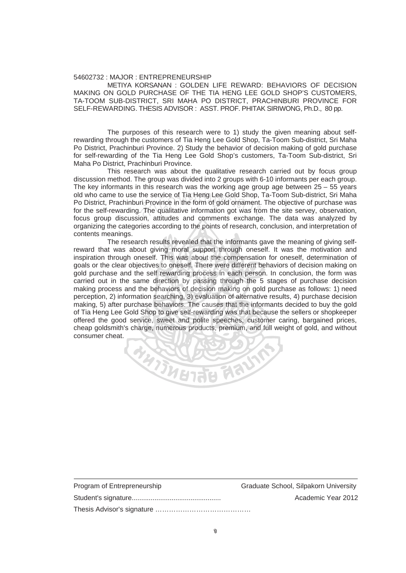## 54602732 : MAJOR : ENTREPRENEURSHIP

 METIYA KORSANAN : GOLDEN LIFE REWARD: BEHAVIORS OF DECISION MAKING ON GOLD PURCHASE OF THE TIA HENG LEE GOLD SHOP'S CUSTOMERS, TA-TOOM SUB-DISTRICT, SRI MAHA PO DISTRICT, PRACHINBURI PROVINCE FOR SELF-REWARDING. THESIS ADVISOR : ASST. PROF. PHITAK SIRIWONG, Ph.D., 80 pp.

 The purposes of this research were to 1) study the given meaning about selfrewarding through the customers of Tia Heng Lee Gold Shop, Ta-Toom Sub-district, Sri Maha Po District, Prachinburi Province. 2) Study the behavior of decision making of gold purchase for self-rewarding of the Tia Heng Lee Gold Shop's customers, Ta-Toom Sub-district, Sri Maha Po District, Prachinburi Province.

 This research was about the qualitative research carried out by focus group discussion method. The group was divided into 2 groups with 6-10 informants per each group. The key informants in this research was the working age group age between  $25 - 55$  years old who came to use the service of Tia Heng Lee Gold Shop, Ta-Toom Sub-district, Sri Maha Po District, Prachinburi Province in the form of gold ornament. The objective of purchase was for the self-rewarding. The qualitative information got was from the site servey, observation, focus group discussion, attitudes and comments exchange. The data was analyzed by organizing the categories according to the points of research, conclusion, and interpretation of contents meanings. the service of Tia Heng Lee Gold Shop,<br>ri Province in the form of gold ornament.<br>The qualitative information got was from

 The research results revealed that the informants gave the meaning of giving selfreward that was about giving moral support through oneself. It was the motivation and inspiration through oneself. This was about the compensation for oneself, determination of goals or the clear objectives to oneself. There were different behaviors of decision making on gold purchase and the self rewarding process in each person. In conclusion, the form was carried out in the same direction by passing through the 5 stages of purchase decision making process and the behaviors of decision making on gold purchase as follows: 1) need perception, 2) information searching, 3) evaluation of alternative results, 4) purchase decision making, 5) after purchase behaviors. The causes that the informants decided to buy the gold of Tia Heng Lee Gold Shop to give self-rewarding was that because the sellers or shopkeeper offered the good service, sweet and polite speeches, customer caring, bargained prices, cheap goldsmith's charge, numerous products, premium, and full weight of gold, and without consumer cheat.

REGEREE

| Program of Entrepreneurship | Graduate School, Silpakorn University |
|-----------------------------|---------------------------------------|
|                             | Academic Year 2012                    |
|                             |                                       |